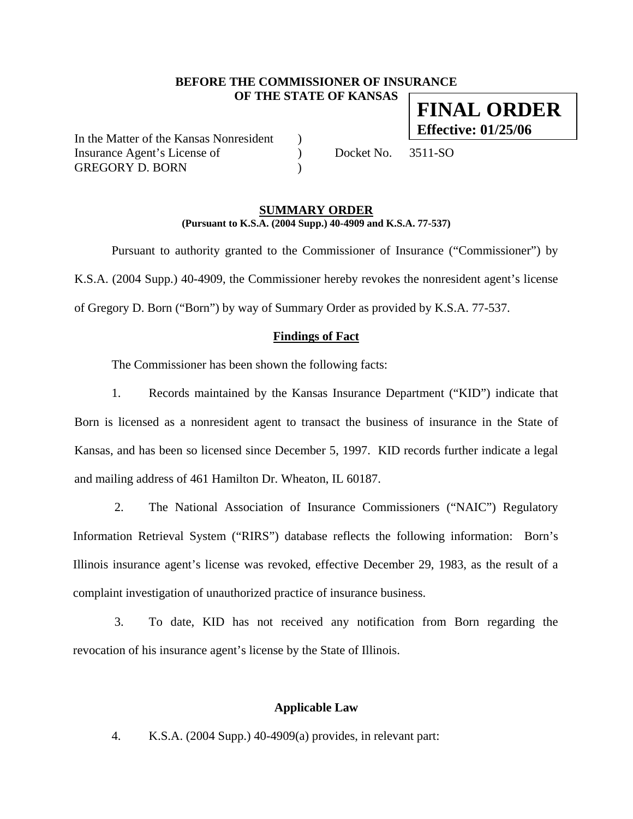## **BEFORE THE COMMISSIONER OF INSURANCE OF THE STATE OF KANSAS**

In the Matter of the Kansas Nonresident ) Insurance Agent's License of  $Docket No. 3511-SO$ GREGORY D. BORN (1999)

#### **SUMMARY ORDER (Pursuant to K.S.A. (2004 Supp.) 40-4909 and K.S.A. 77-537)**

 Pursuant to authority granted to the Commissioner of Insurance ("Commissioner") by K.S.A. (2004 Supp.) 40-4909, the Commissioner hereby revokes the nonresident agent's license of Gregory D. Born ("Born") by way of Summary Order as provided by K.S.A. 77-537.

## **Findings of Fact**

The Commissioner has been shown the following facts:

1. Records maintained by the Kansas Insurance Department ("KID") indicate that Born is licensed as a nonresident agent to transact the business of insurance in the State of Kansas, and has been so licensed since December 5, 1997. KID records further indicate a legal and mailing address of 461 Hamilton Dr. Wheaton, IL 60187.

2. The National Association of Insurance Commissioners ("NAIC") Regulatory Information Retrieval System ("RIRS") database reflects the following information: Born's Illinois insurance agent's license was revoked, effective December 29, 1983, as the result of a complaint investigation of unauthorized practice of insurance business.

3. To date, KID has not received any notification from Born regarding the revocation of his insurance agent's license by the State of Illinois.

### **Applicable Law**

4. K.S.A. (2004 Supp.) 40-4909(a) provides, in relevant part:

**FINAL ORDER Effective: 01/25/06**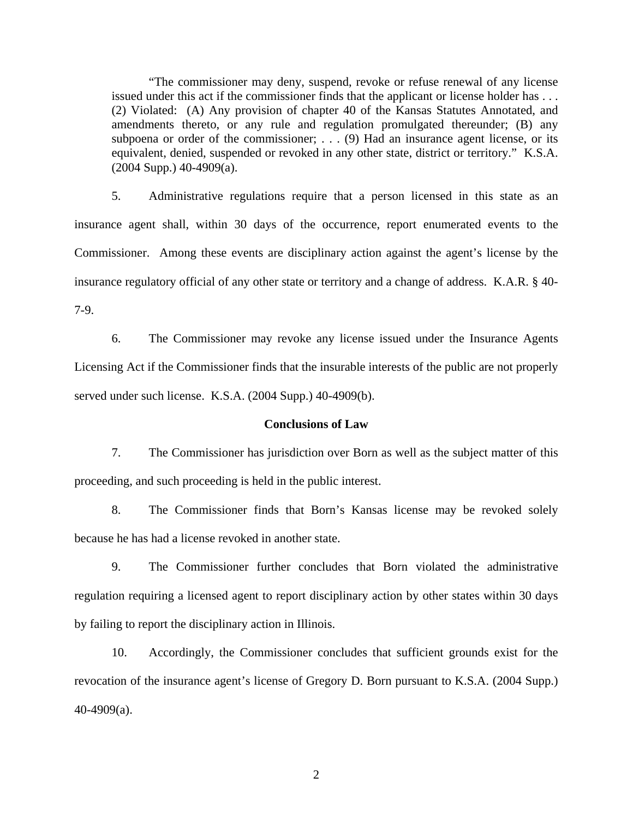"The commissioner may deny, suspend, revoke or refuse renewal of any license issued under this act if the commissioner finds that the applicant or license holder has . . . (2) Violated: (A) Any provision of chapter 40 of the Kansas Statutes Annotated, and amendments thereto, or any rule and regulation promulgated thereunder; (B) any subpoena or order of the commissioner; . . . (9) Had an insurance agent license, or its equivalent, denied, suspended or revoked in any other state, district or territory." K.S.A.  $(2004 \text{ Supp.}) 40-4909(a)$ .

5. Administrative regulations require that a person licensed in this state as an insurance agent shall, within 30 days of the occurrence, report enumerated events to the Commissioner. Among these events are disciplinary action against the agent's license by the insurance regulatory official of any other state or territory and a change of address. K.A.R. § 40- 7-9.

6. The Commissioner may revoke any license issued under the Insurance Agents Licensing Act if the Commissioner finds that the insurable interests of the public are not properly served under such license. K.S.A. (2004 Supp.) 40-4909(b).

#### **Conclusions of Law**

7. The Commissioner has jurisdiction over Born as well as the subject matter of this proceeding, and such proceeding is held in the public interest.

8. The Commissioner finds that Born's Kansas license may be revoked solely because he has had a license revoked in another state.

9. The Commissioner further concludes that Born violated the administrative regulation requiring a licensed agent to report disciplinary action by other states within 30 days by failing to report the disciplinary action in Illinois.

10. Accordingly, the Commissioner concludes that sufficient grounds exist for the revocation of the insurance agent's license of Gregory D. Born pursuant to K.S.A. (2004 Supp.) 40-4909(a).

2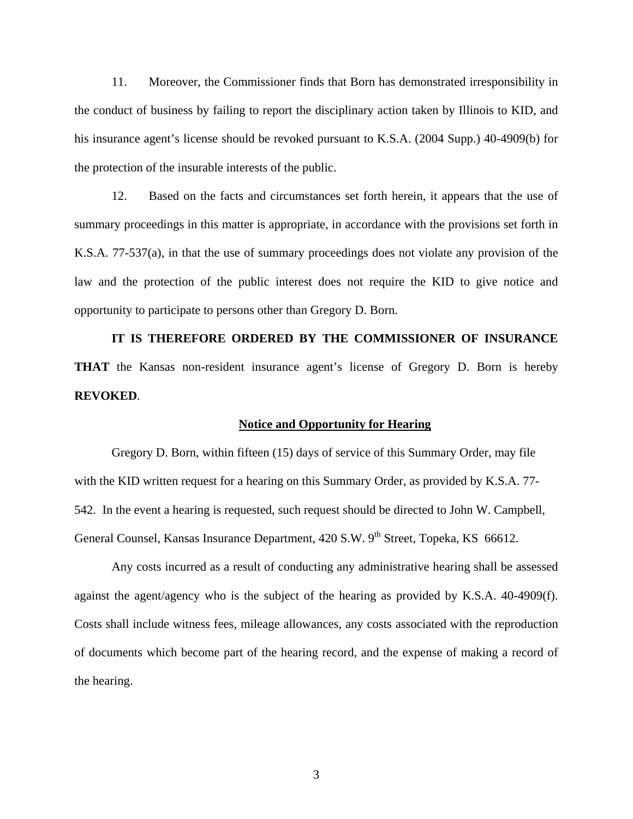11. Moreover, the Commissioner finds that Born has demonstrated irresponsibility in the conduct of business by failing to report the disciplinary action taken by Illinois to KID, and his insurance agent's license should be revoked pursuant to K.S.A. (2004 Supp.) 40-4909(b) for the protection of the insurable interests of the public.

12. Based on the facts and circumstances set forth herein, it appears that the use of summary proceedings in this matter is appropriate, in accordance with the provisions set forth in K.S.A. 77-537(a), in that the use of summary proceedings does not violate any provision of the law and the protection of the public interest does not require the KID to give notice and opportunity to participate to persons other than Gregory D. Born.

**IT IS THEREFORE ORDERED BY THE COMMISSIONER OF INSURANCE THAT** the Kansas non-resident insurance agent's license of Gregory D. Born is hereby **REVOKED**.

#### **Notice and Opportunity for Hearing**

Gregory D. Born, within fifteen (15) days of service of this Summary Order, may file with the KID written request for a hearing on this Summary Order, as provided by K.S.A. 77- 542. In the event a hearing is requested, such request should be directed to John W. Campbell, General Counsel, Kansas Insurance Department, 420 S.W. 9<sup>th</sup> Street, Topeka, KS 66612.

 Any costs incurred as a result of conducting any administrative hearing shall be assessed against the agent/agency who is the subject of the hearing as provided by K.S.A. 40-4909(f). Costs shall include witness fees, mileage allowances, any costs associated with the reproduction of documents which become part of the hearing record, and the expense of making a record of the hearing.